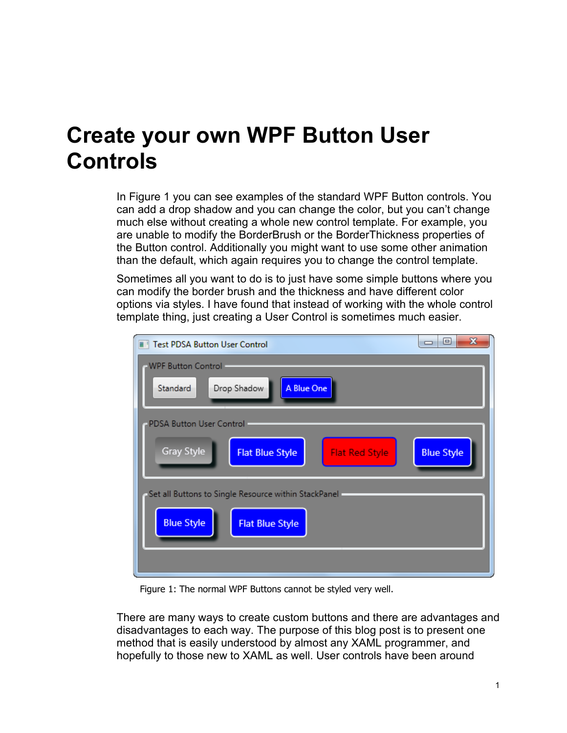### **Create your own WPF Button User Controls**

In [Figure 1](#page-0-0) you can see examples of the standard WPF Button controls. You can add a drop shadow and you can change the color, but you can't change much else without creating a whole new control template. For example, you are unable to modify the BorderBrush or the BorderThickness properties of the Button control. Additionally you might want to use some other animation than the default, which again requires you to change the control template.

Sometimes all you want to do is to just have some simple buttons where you can modify the border brush and the thickness and have different color options via styles. I have found that instead of working with the whole control template thing, just creating a User Control is sometimes much easier.

| $\mathbf{x}$<br>▣<br>$\Box$<br><b>Test PDSA Button User Control</b>                       |
|-------------------------------------------------------------------------------------------|
| <b>WPF Button Control</b>                                                                 |
| A Blue One<br>Drop Shadow<br>Standard                                                     |
| PDSA Button User Control                                                                  |
| <b>Gray Style</b><br><b>Blue Style</b><br><b>Flat Blue Style</b><br><b>Flat Red Style</b> |
| Set all Buttons to Single Resource within StackPanel -                                    |
| <b>Blue Style</b><br><b>Flat Blue Style</b>                                               |
|                                                                                           |

Figure 1: The normal WPF Buttons cannot be styled very well.

<span id="page-0-0"></span>There are many ways to create custom buttons and there are advantages and disadvantages to each way. The purpose of this blog post is to present one method that is easily understood by almost any XAML programmer, and hopefully to those new to XAML as well. User controls have been around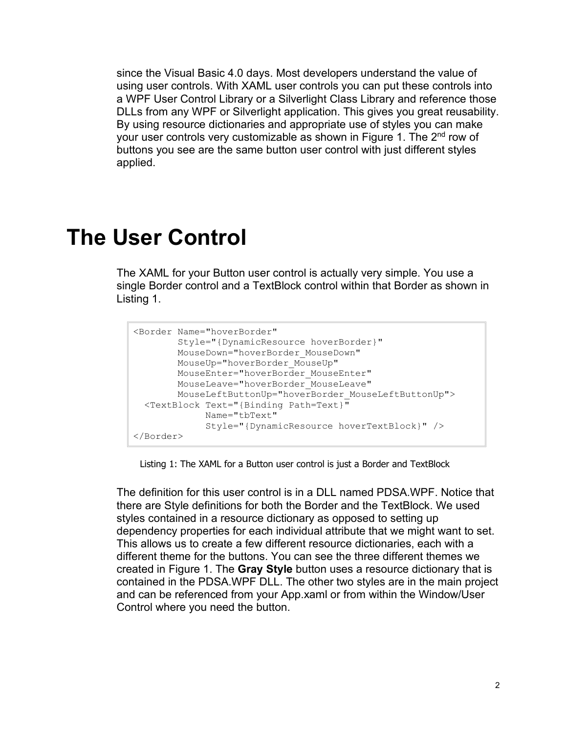since the Visual Basic 4.0 days. Most developers understand the value of using user controls. With XAML user controls you can put these controls into a WPF User Control Library or a Silverlight Class Library and reference those DLLs from any WPF or Silverlight application. This gives you great reusability. By using resource dictionaries and appropriate use of styles you can make your user controls very customizable as shown in [Figure 1.](#page-0-0) The 2<sup>nd</sup> row of buttons you see are the same button user control with just different styles applied.

#### **The User Control**

The XAML for your Button user control is actually very simple. You use a single Border control and a TextBlock control within that Border as shown in [Listing 1.](#page-1-0)

```
<Border Name="hoverBorder"
        Style="{DynamicResource hoverBorder}"
        MouseDown="hoverBorder_MouseDown"
       MouseUp="hoverBorder_MouseUp"
       MouseEnter="hoverBorder MouseEnter"
       MouseLeave="hoverBorder_MouseLeave"
        MouseLeftButtonUp="hoverBorder_MouseLeftButtonUp">
  <TextBlock Text="{Binding Path=Text}"
              Name="tbText"
              Style="{DynamicResource hoverTextBlock}" />
</Border>
```
Listing 1: The XAML for a Button user control is just a Border and TextBlock

<span id="page-1-0"></span>The definition for this user control is in a DLL named PDSA.WPF. Notice that there are Style definitions for both the Border and the TextBlock. We used styles contained in a resource dictionary as opposed to setting up dependency properties for each individual attribute that we might want to set. This allows us to create a few different resource dictionaries, each with a different theme for the buttons. You can see the three different themes we created in [Figure 1.](#page-0-0) The **Gray Style** button uses a resource dictionary that is contained in the PDSA.WPF DLL. The other two styles are in the main project and can be referenced from your App.xaml or from within the Window/User Control where you need the button.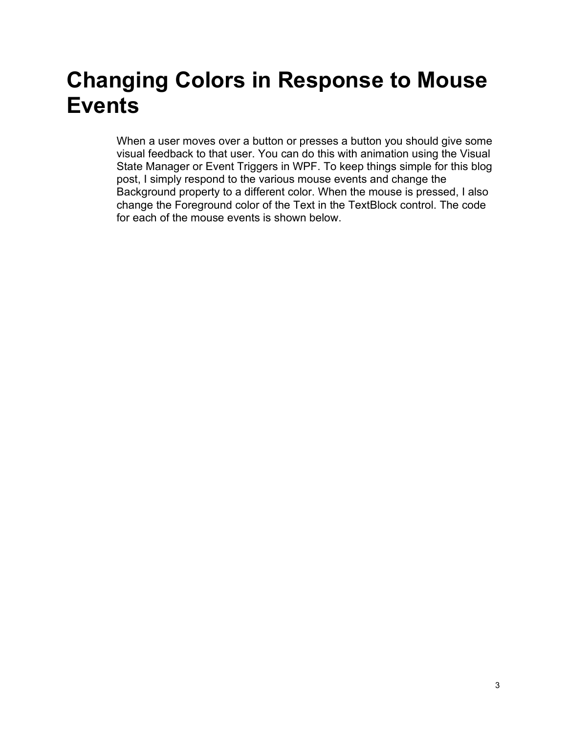# **Changing Colors in Response to Mouse Events**

When a user moves over a button or presses a button you should give some visual feedback to that user. You can do this with animation using the Visual State Manager or Event Triggers in WPF. To keep things simple for this blog post, I simply respond to the various mouse events and change the Background property to a different color. When the mouse is pressed, I also change the Foreground color of the Text in the TextBlock control. The code for each of the mouse events is shown below.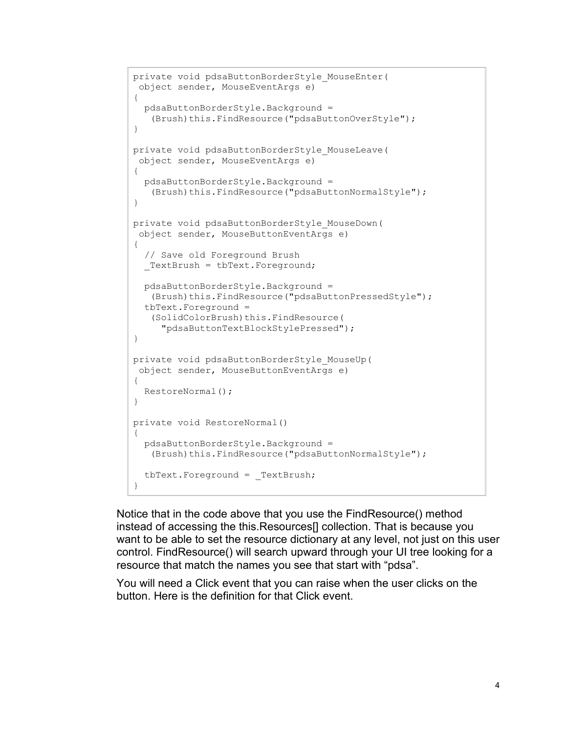```
private void pdsaButtonBorderStyle_MouseEnter(
 object sender, MouseEventArgs e)
{
  pdsaButtonBorderStyle.Background = 
   (Brush)this.FindResource("pdsaButtonOverStyle");
}
private void pdsaButtonBorderStyle_MouseLeave(
 object sender, MouseEventArgs e)
{
  pdsaButtonBorderStyle.Background = 
   (Brush)this.FindResource("pdsaButtonNormalStyle");
}
private void pdsaButtonBorderStyle_MouseDown(
 object sender, MouseButtonEventArgs e)
{
  // Save old Foreground Brush
  TextBrush = tbText.Foreground;
  pdsaButtonBorderStyle.Background = 
   (Brush)this.FindResource("pdsaButtonPressedStyle");
  tbText.Foreground = 
   (SolidColorBrush)this.FindResource(
      "pdsaButtonTextBlockStylePressed");
}
private void pdsaButtonBorderStyle_MouseUp(
 object sender, MouseButtonEventArgs e)
{
  RestoreNormal();
}
private void RestoreNormal()
{
   pdsaButtonBorderStyle.Background = 
   (Brush)this.FindResource("pdsaButtonNormalStyle");
  tbText.Foreground = _TextBrush;
}
```
Notice that in the code above that you use the FindResource() method instead of accessing the this.Resources[] collection. That is because you want to be able to set the resource dictionary at any level, not just on this user control. FindResource() will search upward through your UI tree looking for a resource that match the names you see that start with "pdsa".

You will need a Click event that you can raise when the user clicks on the button. Here is the definition for that Click event.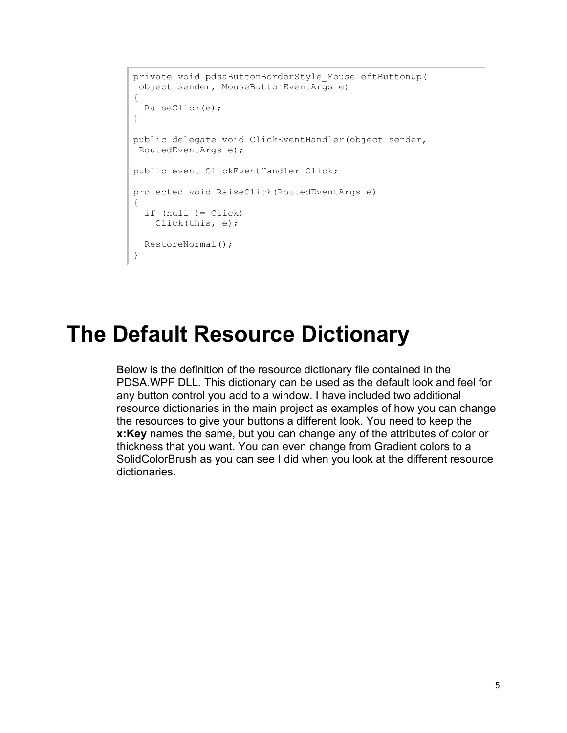```
private void pdsaButtonBorderStyle_MouseLeftButtonUp(
 object sender, MouseButtonEventArgs e)
{
  RaiseClick(e);
}
public delegate void ClickEventHandler(object sender, 
RoutedEventArgs e);
public event ClickEventHandler Click;
protected void RaiseClick(RoutedEventArgs e)
{
   if (null != Click)
    Click(this, e);
  RestoreNormal();
}
```
#### **The Default Resource Dictionary**

Below is the definition of the resource dictionary file contained in the PDSA.WPF DLL. This dictionary can be used as the default look and feel for any button control you add to a window. I have included two additional resource dictionaries in the main project as examples of how you can change the resources to give your buttons a different look. You need to keep the **x:Key** names the same, but you can change any of the attributes of color or thickness that you want. You can even change from Gradient colors to a SolidColorBrush as you can see I did when you look at the different resource dictionaries.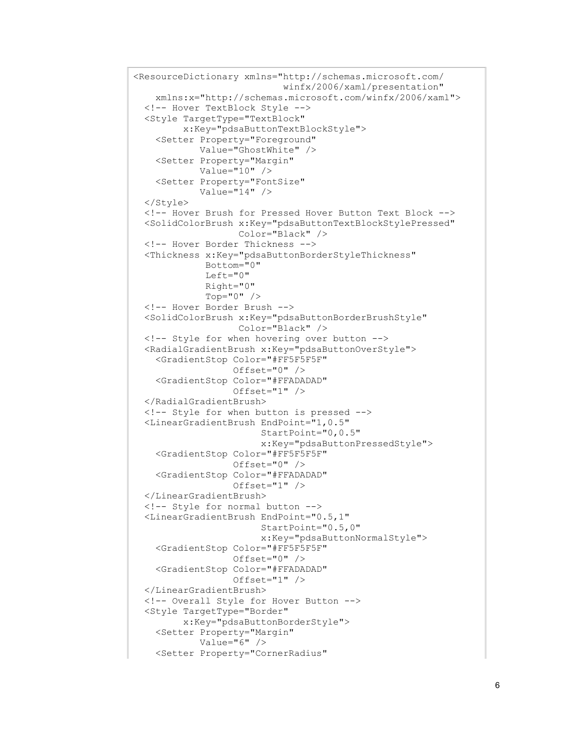```
<ResourceDictionary xmlns="http://schemas.microsoft.com/
                             winfx/2006/xaml/presentation"
    xmlns:x="http://schemas.microsoft.com/winfx/2006/xaml">
  <!-- Hover TextBlock Style -->
  <Style TargetType="TextBlock"
          x:Key="pdsaButtonTextBlockStyle">
     <Setter Property="Foreground"
             Value="GhostWhite" />
     <Setter Property="Margin"
             Value="10" />
     <Setter Property="FontSize"
            Value="14" />
  </Style>
  <!-- Hover Brush for Pressed Hover Button Text Block -->
  <SolidColorBrush x:Key="pdsaButtonTextBlockStylePressed"
                    Color="Black" />
  <!-- Hover Border Thickness -->
  <Thickness x:Key="pdsaButtonBorderStyleThickness"
              Bottom="0"
              Left="0"
              Right="0"
              Top="0" />
  <!-- Hover Border Brush -->
  <SolidColorBrush x:Key="pdsaButtonBorderBrushStyle"
                    Color="Black" />
  <!-- Style for when hovering over button -->
  <RadialGradientBrush x:Key="pdsaButtonOverStyle">
     <GradientStop Color="#FF5F5F5F"
                   Offset="0" />
     <GradientStop Color="#FFADADAD"
                  Offset="1" />
  </RadialGradientBrush>
  <!-- Style for when button is pressed -->
  <LinearGradientBrush EndPoint="1,0.5"
                        StartPoint="0,0.5"
                       x:Key="pdsaButtonPressedStyle">
     <GradientStop Color="#FF5F5F5F"
                   Offset="0" />
     <GradientStop Color="#FFADADAD"
                  Offset="1" />
  </LinearGradientBrush>
  <!-- Style for normal button -->
  <LinearGradientBrush EndPoint="0.5,1"
                         StartPoint="0.5,0"
                        x:Key="pdsaButtonNormalStyle">
     <GradientStop Color="#FF5F5F5F"
                  Offset="0" />
     <GradientStop Color="#FFADADAD"
                  Offset="1" />
  </LinearGradientBrush>
  <!-- Overall Style for Hover Button -->
  <Style TargetType="Border"
          x:Key="pdsaButtonBorderStyle">
     <Setter Property="Margin"
            Value="6" />
     <Setter Property="CornerRadius"
```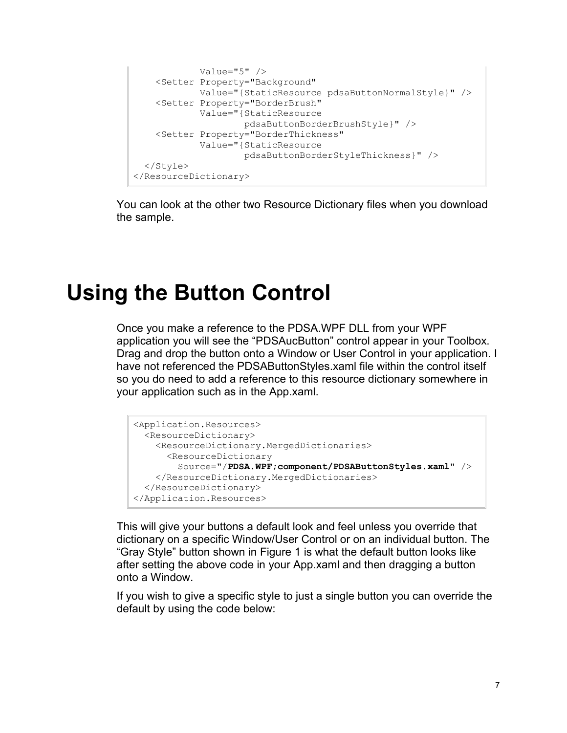```
 Value="5" />
     <Setter Property="Background"
            Value="{StaticResource pdsaButtonNormalStyle}" />
     <Setter Property="BorderBrush"
            Value="{StaticResource 
                    pdsaButtonBorderBrushStyle}" />
     <Setter Property="BorderThickness"
            Value="{StaticResource 
                     pdsaButtonBorderStyleThickness}" />
  </Style>
</ResourceDictionary>
```
You can look at the other two Resource Dictionary files when you download the sample.

### **Using the Button Control**

Once you make a reference to the PDSA.WPF DLL from your WPF application you will see the "PDSAucButton" control appear in your Toolbox. Drag and drop the button onto a Window or User Control in your application. I have not referenced the PDSAButtonStyles.xaml file within the control itself so you do need to add a reference to this resource dictionary somewhere in your application such as in the App.xaml.

```
<Application.Resources>
  <ResourceDictionary>
    <ResourceDictionary.MergedDictionaries>
       <ResourceDictionary 
         Source="/PDSA.WPF;component/PDSAButtonStyles.xaml" />
    </ResourceDictionary.MergedDictionaries>
  </ResourceDictionary>
</Application.Resources>
```
This will give your buttons a default look and feel unless you override that dictionary on a specific Window/User Control or on an individual button. The "Gray Style" button shown in [Figure 1](#page-0-0) is what the default button looks like after setting the above code in your App.xaml and then dragging a button onto a Window.

If you wish to give a specific style to just a single button you can override the default by using the code below: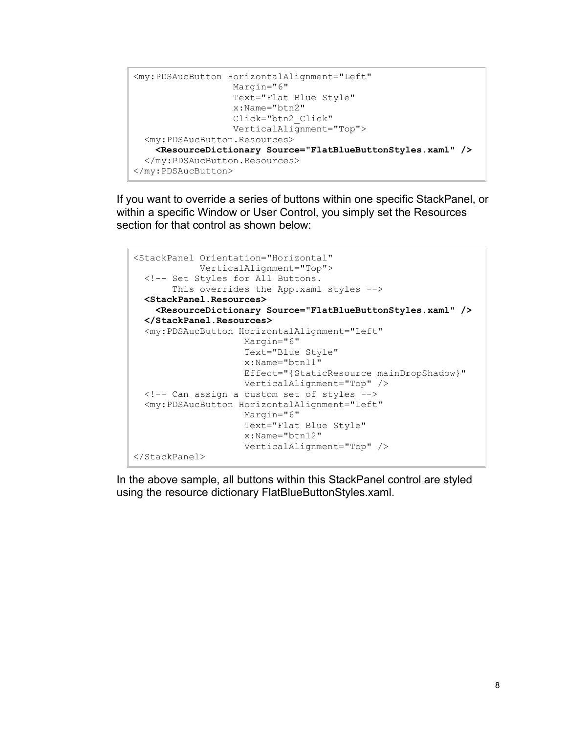```
<my:PDSAucButton HorizontalAlignment="Left"
                   Margin="6"
                  Text="Flat Blue Style"
                  x:Name="btn2"
                  Click="btn2_Click"
                   VerticalAlignment="Top">
  <my:PDSAucButton.Resources>
     <ResourceDictionary Source="FlatBlueButtonStyles.xaml" />
  </my:PDSAucButton.Resources>
</my:PDSAucButton>
```
If you want to override a series of buttons within one specific StackPanel, or within a specific Window or User Control, you simply set the Resources section for that control as shown below:

```
<StackPanel Orientation="Horizontal"
             VerticalAlignment="Top">
  <!-- Set Styles for All Buttons. 
        This overrides the App.xaml styles -->
  <StackPanel.Resources>
     <ResourceDictionary Source="FlatBlueButtonStyles.xaml" />
  </StackPanel.Resources>
  <my:PDSAucButton HorizontalAlignment="Left"
                     Margin="6"
                     Text="Blue Style"
                    x:Name="btn11"
                    Effect="{StaticResource mainDropShadow}"
                    VerticalAlignment="Top" />
  <!-- Can assign a custom set of styles -->
  <my:PDSAucButton HorizontalAlignment="Left"
                     Margin="6"
                    Text="Flat Blue Style"
                    x:Name="btn12"
                    VerticalAlignment="Top" />
</StackPanel>
```
In the above sample, all buttons within this StackPanel control are styled using the resource dictionary FlatBlueButtonStyles.xaml.